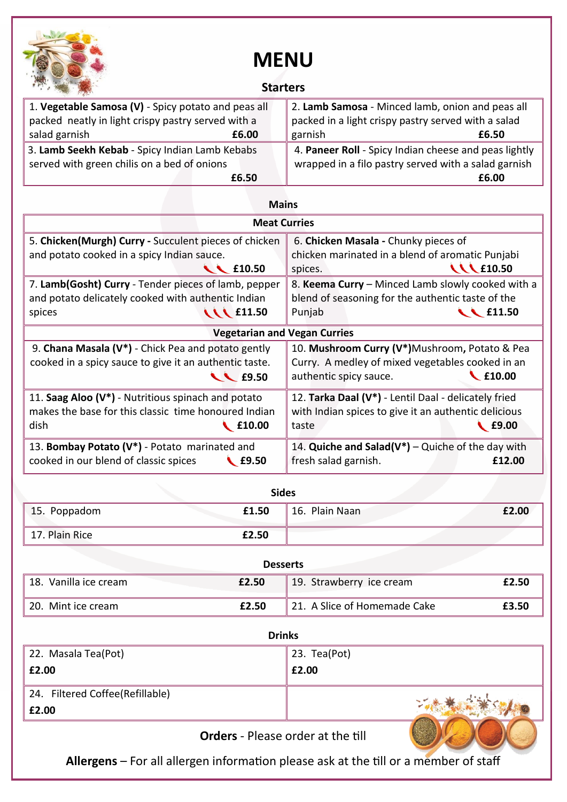

## **MENU**

## **Starters**

| 1. Vegetable Samosa (V) - Spicy potato and peas all | 2. Lamb Samosa - Minced lamb, onion and peas all      |
|-----------------------------------------------------|-------------------------------------------------------|
| packed neatly in light crispy pastry served with a  | packed in a light crispy pastry served with a salad   |
| salad garnish<br>£6.00                              | garnish<br>£6.50                                      |
| 3. Lamb Seekh Kebab - Spicy Indian Lamb Kebabs      | 4. Paneer Roll - Spicy Indian cheese and peas lightly |
| served with green chilis on a bed of onions         | wrapped in a filo pastry served with a salad garnish  |
| £6.50                                               | £6.00                                                 |

| <b>Mains</b>                                                                                                                           |                                                                                                                                |  |  |
|----------------------------------------------------------------------------------------------------------------------------------------|--------------------------------------------------------------------------------------------------------------------------------|--|--|
| <b>Meat Curries</b>                                                                                                                    |                                                                                                                                |  |  |
| 5. Chicken(Murgh) Curry - Succulent pieces of chicken                                                                                  | 6. Chicken Masala - Chunky pieces of                                                                                           |  |  |
| and potato cooked in a spicy Indian sauce.                                                                                             | chicken marinated in a blend of aromatic Punjabi                                                                               |  |  |
| $\sim$ £10.50                                                                                                                          | <b>WE10.50</b><br>spices.                                                                                                      |  |  |
| 7. Lamb(Gosht) Curry - Tender pieces of lamb, pepper                                                                                   | 8. Keema Curry - Minced Lamb slowly cooked with a                                                                              |  |  |
| and potato delicately cooked with authentic Indian                                                                                     | blend of seasoning for the authentic taste of the                                                                              |  |  |
| <b>WE11.50</b><br>spices                                                                                                               | $\sim$ £11.50<br>Punjab                                                                                                        |  |  |
| <b>Vegetarian and Vegan Curries</b>                                                                                                    |                                                                                                                                |  |  |
| 9. Chana Masala (V*) - Chick Pea and potato gently                                                                                     | 10. Mushroom Curry (V*)Mushroom, Potato & Pea                                                                                  |  |  |
| cooked in a spicy sauce to give it an authentic taste.                                                                                 | Curry. A medley of mixed vegetables cooked in an                                                                               |  |  |
| $\sim$ £9.50                                                                                                                           | £10.00<br>authentic spicy sauce.                                                                                               |  |  |
| 11. Saag Aloo (V*) - Nutritious spinach and potato<br>makes the base for this classic time honoured Indian<br>dish<br>$\bigcup$ £10.00 | 12. Tarka Daal (V*) - Lentil Daal - delicately fried<br>with Indian spices to give it an authentic delicious<br>E9.00<br>taste |  |  |
| 13. Bombay Potato (V*) - Potato marinated and<br>cooked in our blend of classic spices<br>$\triangle$ £9.50                            | 14. Quiche and Salad( $V^*$ ) – Quiche of the day with<br>fresh salad garnish.<br>£12.00                                       |  |  |

| <b>Sides</b>   |       |                |       |
|----------------|-------|----------------|-------|
| 15. Poppadom   | £1.50 | 16. Plain Naan | £2.00 |
| 17. Plain Rice | £2.50 |                |       |

| <b>Desserts</b>       |       |                              |       |
|-----------------------|-------|------------------------------|-------|
| 18. Vanilla ice cream | £2.50 | 19. Strawberry ice cream     | £2.50 |
| 20. Mint ice cream    | £2.50 | 21. A Slice of Homemade Cake | £3.50 |

| <b>Drinks</b>                   |              |  |
|---------------------------------|--------------|--|
| 22. Masala Tea(Pot)             | 23. Tea(Pot) |  |
| £2.00                           | £2.00        |  |
| 24. Filtered Coffee(Refillable) |              |  |
| £2.00                           |              |  |
| $\sim$ 1<br>$\sim$ $\sim$       |              |  |

**Orders** - Please order at the till

**Allergens** – For all allergen information please ask at the till or a member of staff